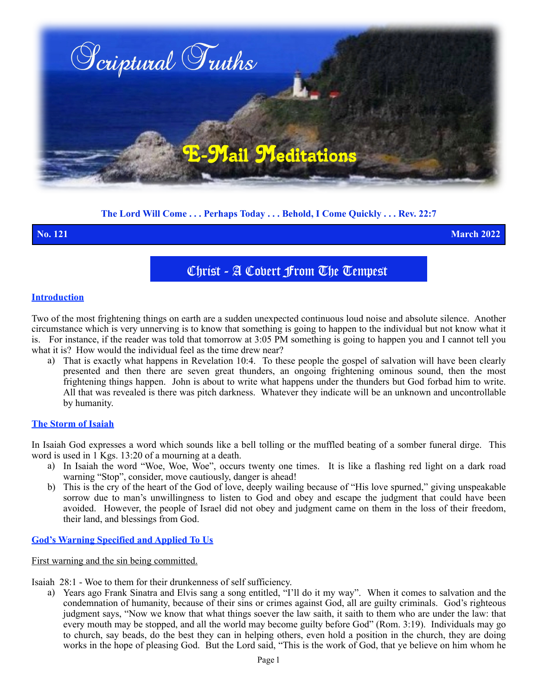

## **The Lord Will Come . . . Perhaps Today . . . Behold, I Come Quickly . . . Rev. 22:7**

**No. 121 March 2022**

Christ - A Covert From The Tempest

### **Introduction**

Two of the most frightening things on earth are a sudden unexpected continuous loud noise and absolute silence. Another circumstance which is very unnerving is to know that something is going to happen to the individual but not know what it is. For instance, if the reader was told that tomorrow at 3:05 PM something is going to happen you and I cannot tell you what it is? How would the individual feel as the time drew near?

a) That is exactly what happens in Revelation 10:4. To these people the gospel of salvation will have been clearly presented and then there are seven great thunders, an ongoing frightening ominous sound, then the most frightening things happen. John is about to write what happens under the thunders but God forbad him to write. All that was revealed is there was pitch darkness. Whatever they indicate will be an unknown and uncontrollable by humanity.

#### **The Storm of Isaiah**

In Isaiah God expresses a word which sounds like a bell tolling or the muffled beating of a somber funeral dirge. This word is used in 1 Kgs. 13:20 of a mourning at a death.

- a) In Isaiah the word "Woe, Woe, Woe", occurs twenty one times. It is like a flashing red light on a dark road warning "Stop", consider, move cautiously, danger is ahead!
- b) This is the cry of the heart of the God of love, deeply wailing because of "His love spurned," giving unspeakable sorrow due to man's unwillingness to listen to God and obey and escape the judgment that could have been avoided. However, the people of Israel did not obey and judgment came on them in the loss of their freedom, their land, and blessings from God.

### **God's Warning Specified and Applied To Us**

First warning and the sin being committed.

Isaiah 28:1 - Woe to them for their drunkenness of self sufficiency.

a) Years ago Frank Sinatra and Elvis sang a song entitled, "I'll do it my way". When it comes to salvation and the condemnation of humanity, because of their sins or crimes against God, all are guilty criminals. God's righteous judgment says, "Now we know that what things soever the law saith, it saith to them who are under the law: that every mouth may be stopped, and all the world may become guilty before God" (Rom. 3:19). Individuals may go to church, say beads, do the best they can in helping others, even hold a position in the church, they are doing works in the hope of pleasing God. But the Lord said, "This is the work of God, that ye believe on him whom he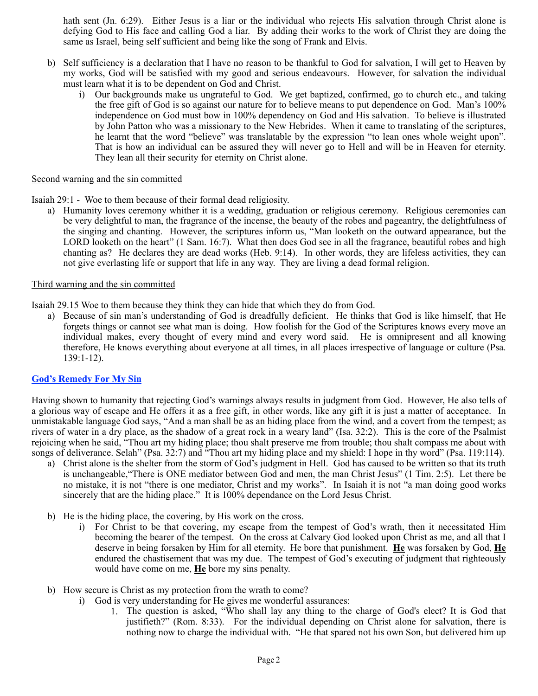hath sent (Jn. 6:29). Either Jesus is a liar or the individual who rejects His salvation through Christ alone is defying God to His face and calling God a liar. By adding their works to the work of Christ they are doing the same as Israel, being self sufficient and being like the song of Frank and Elvis.

- b) Self sufficiency is a declaration that I have no reason to be thankful to God for salvation, I will get to Heaven by my works, God will be satisfied with my good and serious endeavours. However, for salvation the individual must learn what it is to be dependent on God and Christ.
	- i) Our backgrounds make us ungrateful to God. We get baptized, confirmed, go to church etc., and taking the free gift of God is so against our nature for to believe means to put dependence on God. Man's 100% independence on God must bow in 100% dependency on God and His salvation. To believe is illustrated by John Patton who was a missionary to the New Hebrides. When it came to translating of the scriptures, he learnt that the word "believe" was translatable by the expression "to lean ones whole weight upon". That is how an individual can be assured they will never go to Hell and will be in Heaven for eternity. They lean all their security for eternity on Christ alone.

## Second warning and the sin committed

Isaiah 29:1 - Woe to them because of their formal dead religiosity.

a) Humanity loves ceremony whither it is a wedding, graduation or religious ceremony. Religious ceremonies can be very delightful to man, the fragrance of the incense, the beauty of the robes and pageantry, the delightfulness of the singing and chanting. However, the scriptures inform us, "Man looketh on the outward appearance, but the LORD looketh on the heart" (1 Sam. 16:7). What then does God see in all the fragrance, beautiful robes and high chanting as? He declares they are dead works (Heb. 9:14). In other words, they are lifeless activities, they can not give everlasting life or support that life in any way. They are living a dead formal religion.

### Third warning and the sin committed

Isaiah 29.15 Woe to them because they think they can hide that which they do from God.

a) Because of sin man's understanding of God is dreadfully deficient. He thinks that God is like himself, that He forgets things or cannot see what man is doing. How foolish for the God of the Scriptures knows every move an individual makes, every thought of every mind and every word said. He is omnipresent and all knowing therefore, He knows everything about everyone at all times, in all places irrespective of language or culture (Psa. 139:1-12).

## **God's Remedy For My Sin**

Having shown to humanity that rejecting God's warnings always results in judgment from God. However, He also tells of a glorious way of escape and He offers it as a free gift, in other words, like any gift it is just a matter of acceptance. In unmistakable language God says, "And a man shall be as an hiding place from the wind, and a covert from the tempest; as rivers of water in a dry place, as the shadow of a great rock in a weary land" (Isa. 32:2). This is the core of the Psalmist rejoicing when he said, "Thou art my hiding place; thou shalt preserve me from trouble; thou shalt compass me about with songs of deliverance. Selah" (Psa. 32:7) and "Thou art my hiding place and my shield: I hope in thy word" (Psa. 119:114).

- a) Christ alone is the shelter from the storm of God's judgment in Hell. God has caused to be written so that its truth is unchangeable,"There is ONE mediator between God and men, the man Christ Jesus" (1 Tim. 2:5). Let there be no mistake, it is not "there is one mediator, Christ and my works". In Isaiah it is not "a man doing good works sincerely that are the hiding place." It is 100% dependance on the Lord Jesus Christ.
- b) He is the hiding place, the covering, by His work on the cross.
	- i) For Christ to be that covering, my escape from the tempest of God's wrath, then it necessitated Him becoming the bearer of the tempest. On the cross at Calvary God looked upon Christ as me, and all that I deserve in being forsaken by Him for all eternity. He bore that punishment. **He** was forsaken by God, **He** endured the chastisement that was my due. The tempest of God's executing of judgment that righteously would have come on me, **He** bore my sins penalty.
- b) How secure is Christ as my protection from the wrath to come?
	- i) God is very understanding for He gives me wonderful assurances:
		- 1. The question is asked, "Who shall lay any thing to the charge of God's elect? It is God that justifieth?" (Rom. 8:33). For the individual depending on Christ alone for salvation, there is nothing now to charge the individual with. "He that spared not his own Son, but delivered him up